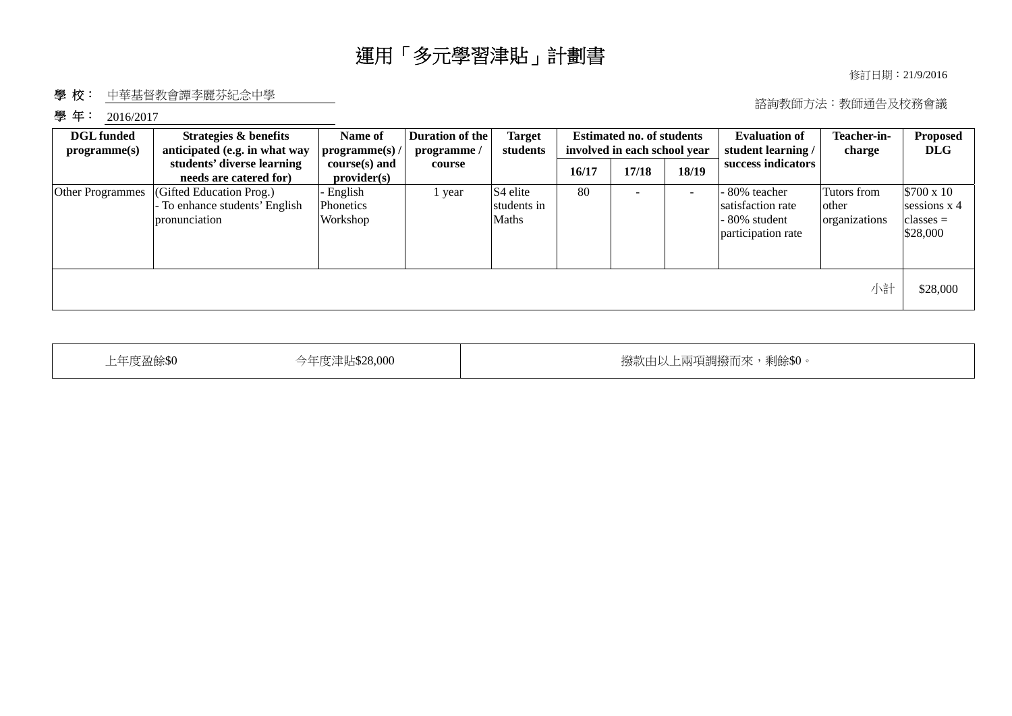#### 修訂日期︰21/9/2016

### 學校: 中華基督教會譚李麗芬紀念中學

#### 學年: 2016/2017

### 諮詢教師方法︰教師通告及校務會議

| <b>DGL</b> funded<br>programme(s) | <b>Strategies &amp; benefits</b><br>anticipated (e.g. in what way         | Name of<br>programme(s)                 | Duration of the<br>programme | <b>Target</b><br>students                    | <b>Estimated no. of students</b><br>involved in each school year |       |                          | <b>Evaluation of</b><br>student learning /                                | Teacher-in-<br>charge                 | <b>Proposed</b><br><b>DLG</b>                                 |
|-----------------------------------|---------------------------------------------------------------------------|-----------------------------------------|------------------------------|----------------------------------------------|------------------------------------------------------------------|-------|--------------------------|---------------------------------------------------------------------------|---------------------------------------|---------------------------------------------------------------|
|                                   | students' diverse learning<br>needs are catered for)                      | $course(s)$ and<br>provider(s)          | course                       |                                              | 16/17                                                            | 17/18 | 18/19                    | success indicators                                                        |                                       |                                                               |
| Other Programmes                  | (Gifted Education Prog.)<br>To enhance students' English<br>pronunciation | English<br><b>Phonetics</b><br>Workshop | 1 year                       | S <sub>4</sub> elite<br>students in<br>Maths | 80                                                               |       | $\overline{\phantom{a}}$ | - 80% teacher<br>satisfaction rate<br>- 80% student<br>participation rate | Tutors from<br>other<br>organizations | $$700 \times 10$<br>sessions $x$ 4<br>$classes =$<br>\$28,000 |
|                                   |                                                                           |                                         |                              |                                              |                                                                  |       |                          |                                                                           | 小計                                    | \$28,000                                                      |

| 上年度盈餘\$0<br>今年度津貼\$28,000 | 撥款由以上兩項調撥而來,剩餘\$0。 |
|---------------------------|--------------------|
|---------------------------|--------------------|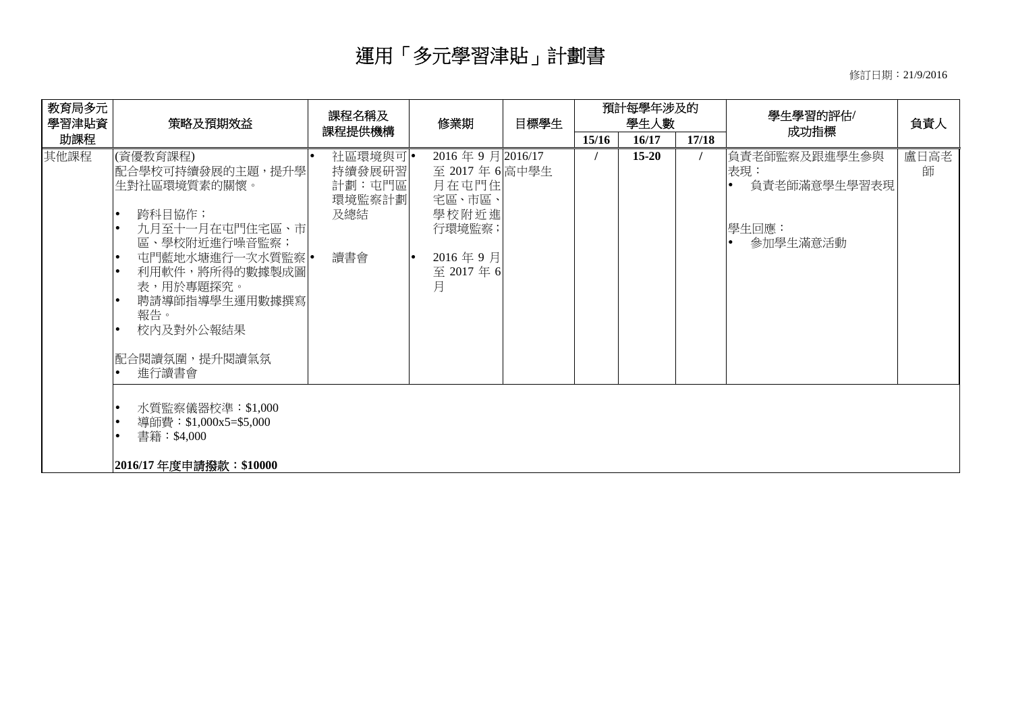修訂日期︰21/9/2016

| 教育局多元<br>學習津貼資 | 策略及預期效益                                                                                                                                                                                                                 | 課程名稱及                                               | 修業期                                                                                              | 目標學生 | 預計每學年涉及的<br>學生人數 |           |       | 學生學習的評估/                                                  | 負責人       |
|----------------|-------------------------------------------------------------------------------------------------------------------------------------------------------------------------------------------------------------------------|-----------------------------------------------------|--------------------------------------------------------------------------------------------------|------|------------------|-----------|-------|-----------------------------------------------------------|-----------|
| 助課程            |                                                                                                                                                                                                                         | 課程提供機構                                              |                                                                                                  |      | 15/16            | 16/17     | 17/18 | 成功指標                                                      |           |
| 其他課程           | (資優教育課程)<br> 配合學校可持續發展的主題,提升學 <br>生對社區環境質素的關懷。<br>跨科目協作;<br>九月至十一月在屯門住宅區、市<br>區、學校附近進行噪音監察;<br>屯門藍地水塘進行一次水質監察 •<br>l e<br>利用軟件,將所得的數據製成圖<br>表,用於專題探究。<br>聘請導師指導學生運用數據撰寫<br>報告。<br>校内及對外公報結果<br> 配合閱讀氛圍,提升閱讀氣氛 <br>進行讀書會 | 社區環境與可•<br>持續發展研習<br>計劃:屯門區<br>環境監察計劃<br>及總結<br>讀書會 | 2016年9月2016/17<br>至 2017年6高中學生<br>月在屯門住<br>宅區、市區、<br>學校附近進<br>行環境監察;<br>2016年9月<br>至 2017年6<br>月 |      |                  | $15 - 20$ |       | 負責老師監察及跟進學生參與<br>表現:<br>負責老師滿意學生學習表現<br>學生回應:<br>參加學生滿意活動 | 盧日高老<br>師 |
|                | 水質監察儀器校準:\$1,000<br>導師費:\$1,000x5=\$5,000<br>書籍:\$4,000<br>2016/17年度申請撥款: \$10000                                                                                                                                       |                                                     |                                                                                                  |      |                  |           |       |                                                           |           |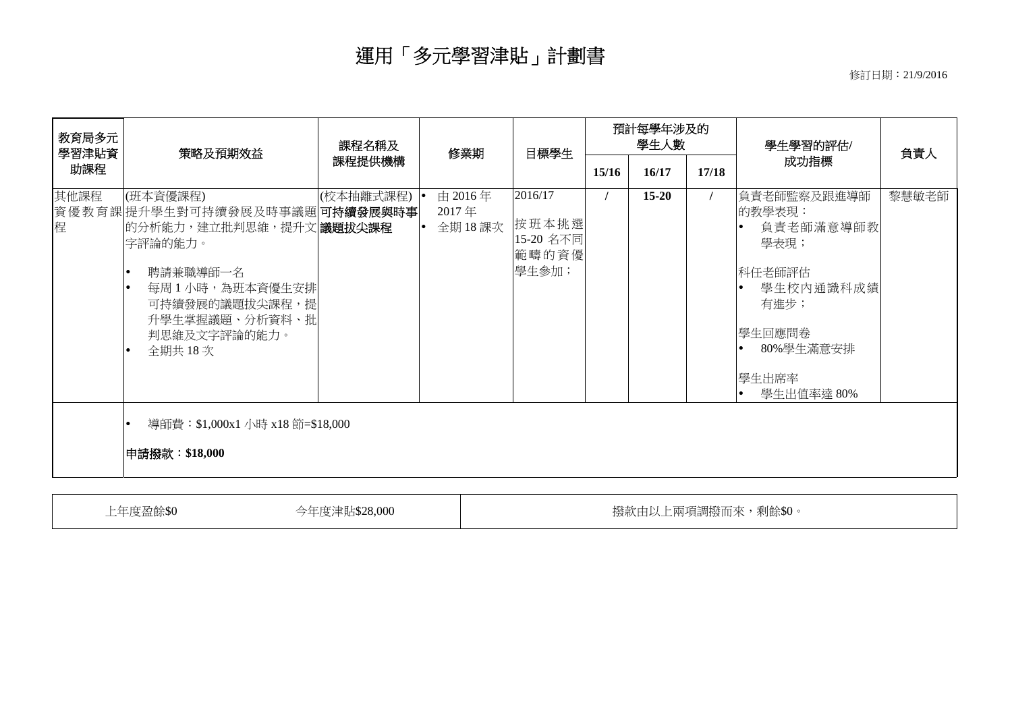修訂日期︰21/9/2016

| 教育局多元<br>學習津貼資 | 策略及預期效益                                                                                                                                                                                                      | 課程名稱及         | 修業期                        | 目標學生                                            | 預計每學年涉及的<br>學生人數 |           |      | 學生學習的評估/                                                                                                                  | 負責人   |
|----------------|--------------------------------------------------------------------------------------------------------------------------------------------------------------------------------------------------------------|---------------|----------------------------|-------------------------------------------------|------------------|-----------|------|---------------------------------------------------------------------------------------------------------------------------|-------|
| 助課程            | 課程提供機構                                                                                                                                                                                                       |               |                            | 15/16                                           | 16/17            | 17/18     | 成功指標 |                                                                                                                           |       |
| 其他課程<br>程      | (班本資優課程)<br>資優教育課提升學生對可持續發展及時事議題可持續發展與時事<br>的分析能力,建立批判思維,提升文議題拔尖課程<br>字評論的能力。<br>聘請兼職導師一名<br>每周1小時,為班本資優生安排<br>可持續發展的議題拔尖課程,提<br>升學生掌握議題、分析資料、批<br>判思維及文字評論的能力。<br>全期共18次<br>導師費:\$1,000x1 小時 x18 節=\$18,000 | (校本抽離式課程)     | 由 2016年<br>2017年<br>全期18課次 | 2016/17<br>按班本挑選<br>15-20 名不同<br>範疇的資優<br>學生參加; |                  | $15 - 20$ |      | 負責老師監察及跟進導師<br>的教學表現:<br>負責老師滿意導師教<br>學表現;<br>科任老師評估<br>學生校內通識科成績<br>有進步;<br> 學生回應問卷 <br>80%學生滿意安排<br>學生出席率<br>學生出值率達 80% | 黎慧敏老師 |
|                | 申請撥款:\$18,000                                                                                                                                                                                                |               |                            |                                                 |                  |           |      |                                                                                                                           |       |
|                | 上年度盈餘\$0                                                                                                                                                                                                     | 今年度津貼\$28,000 |                            |                                                 |                  |           |      | 撥款由以上兩項調撥而來,剩餘\$0。                                                                                                        |       |